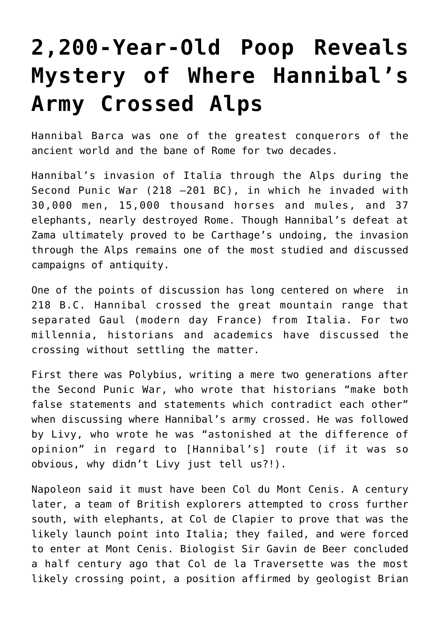## **[2,200-Year-Old Poop Reveals](https://intellectualtakeout.org/2016/04/2200-year-old-poop-reveals-mystery-of-where-hannibals-army-crossed-alps/) [Mystery of Where Hannibal's](https://intellectualtakeout.org/2016/04/2200-year-old-poop-reveals-mystery-of-where-hannibals-army-crossed-alps/) [Army Crossed Alps](https://intellectualtakeout.org/2016/04/2200-year-old-poop-reveals-mystery-of-where-hannibals-army-crossed-alps/)**

Hannibal Barca was one of the greatest conquerors of the ancient world and the bane of Rome for two decades.

Hannibal's invasion of Italia through the Alps during the Second Punic War (218 –201 BC), in which he invaded with 30,000 men, 15,000 thousand horses and mules, and 37 elephants, nearly destroyed Rome. Though Hannibal's defeat at Zama ultimately proved to be Carthage's undoing, the invasion through the Alps remains one of the most studied and discussed campaigns of antiquity.

One of the points of discussion has long centered on where in 218 B.C. Hannibal crossed the great mountain range that separated Gaul (modern day France) from Italia. For two millennia, historians and academics have discussed the crossing without settling the matter.

First there was Polybius, writing a mere two generations after the Second Punic War, who wrote that historians "make both false statements and statements which contradict each other" when discussing where Hannibal's army crossed. He was followed by Livy, who wrote he was "astonished at the difference of opinion" in regard to [Hannibal's] route (if it was so obvious, why didn't Livy just tell us?!).

Napoleon said it must have been Col du Mont Cenis. A century later, a team of British explorers attempted to cross further south, with elephants, at Col de Clapier to prove that was the likely launch point into Italia; they failed, and were forced to enter at Mont Cenis. Biologist Sir Gavin de Beer concluded a half century ago that Col de la Traversette was the most likely crossing point, a position affirmed by geologist Brian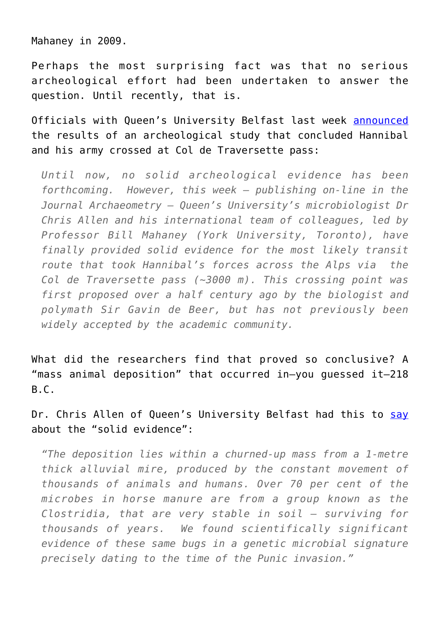Mahaney in 2009.

Perhaps the most surprising fact was that no serious archeological effort had been undertaken to answer the question. Until recently, that is.

Officials with Queen's University Belfast last week [announced](http://www.qub.ac.uk/home/ceao/News/) the results of an archeological study that concluded Hannibal and his army crossed at Col de Traversette pass:

*Until now, no solid archeological evidence has been forthcoming. However, this week – publishing on-line in the Journal Archaeometry – Queen's University's microbiologist Dr Chris Allen and his international team of colleagues, led by Professor Bill Mahaney (York University, Toronto), have finally provided solid evidence for the most likely transit route that took Hannibal's forces across the Alps via the Col de Traversette pass (~3000 m). This crossing point was first proposed over a half century ago by the biologist and polymath Sir Gavin de Beer, but has not previously been widely accepted by the academic community.* 

What did the researchers find that proved so conclusive? A "mass animal deposition" that occurred in—you guessed it—218 B.C.

Dr. Chris Allen of Queen's University Belfast had this to [say](http://www.qub.ac.uk/home/ceao/News/) about the "solid evidence":

*"The deposition lies within a churned-up mass from a 1-metre thick alluvial mire, produced by the constant movement of thousands of animals and humans. Over 70 per cent of the microbes in horse manure are from a group known as the Clostridia, that are very stable in soil – surviving for thousands of years. We found scientifically significant evidence of these same bugs in a genetic microbial signature precisely dating to the time of the Punic invasion."*